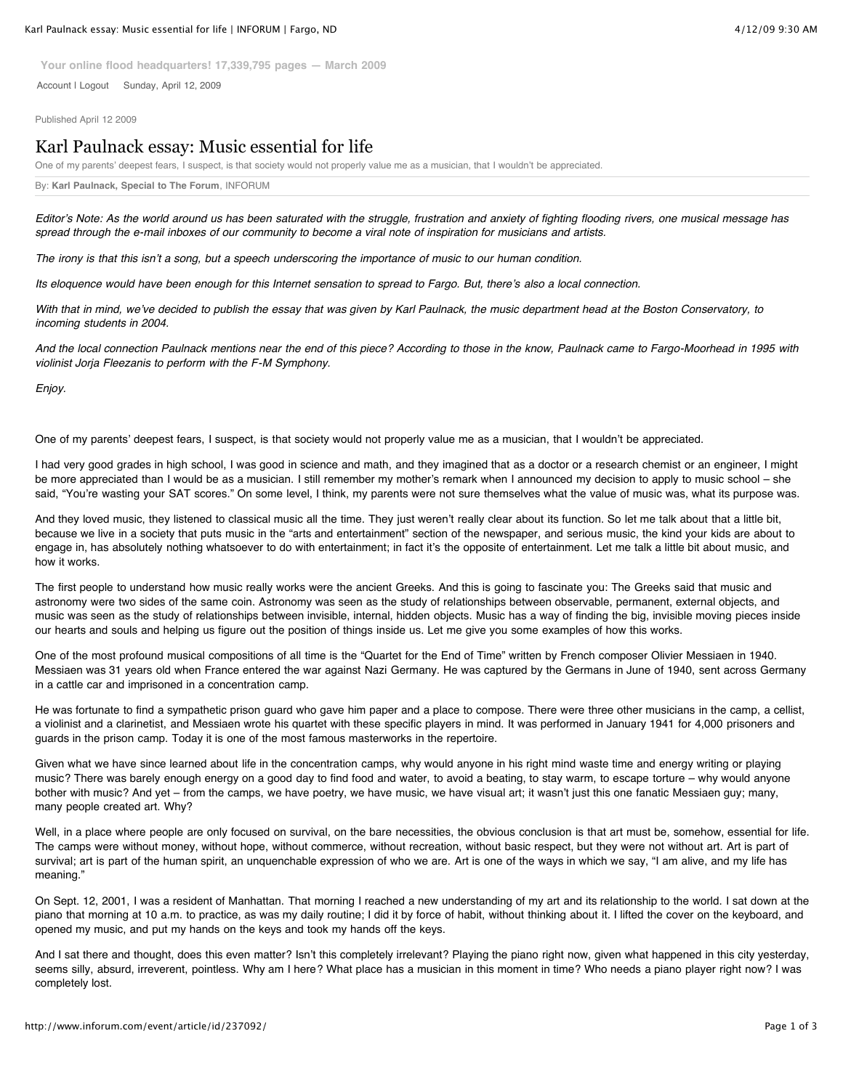**Your online flood headquarters! 17,339,795 pages — March 2009**

Account I Logout Sunday, April 12, 2009

Published April 12 2009

## Karl Paulnack essay: Music essential for life

One of my parents' deepest fears, I suspect, is that society would not properly value me as a musician, that I wouldn't be appreciated.

By: **Karl Paulnack, Special to The Forum**, INFORUM

*Editor*'*s Note: As the world around us has been saturated with the struggle, frustration and anxiety of fighting flooding rivers, one musical message has spread through the e-mail inboxes of our community to become a viral note of inspiration for musicians and artists.*

*The irony is that this isn*'*t a song, but a speech underscoring the importance of music to our human condition.*

*Its eloquence would have been enough for this Internet sensation to spread to Fargo. But, there*'*s also a local connection.*

*With that in mind, we*'*ve decided to publish the essay that was given by Karl Paulnack, the music department head at the Boston Conservatory, to incoming students in 2004.*

*And the local connection Paulnack mentions near the end of this piece? According to those in the know, Paulnack came to Fargo-Moorhead in 1995 with violinist Jorja Fleezanis to perform with the F-M Symphony.*

*Enjoy.*

One of my parents' deepest fears, I suspect, is that society would not properly value me as a musician, that I wouldn't be appreciated.

I had very good grades in high school, I was good in science and math, and they imagined that as a doctor or a research chemist or an engineer, I might be more appreciated than I would be as a musician. I still remember my mother's remark when I announced my decision to apply to music school – she said, "You're wasting your SAT scores." On some level, I think, my parents were not sure themselves what the value of music was, what its purpose was.

And they loved music, they listened to classical music all the time. They just weren't really clear about its function. So let me talk about that a little bit, because we live in a society that puts music in the "arts and entertainment" section of the newspaper, and serious music, the kind your kids are about to engage in, has absolutely nothing whatsoever to do with entertainment; in fact it's the opposite of entertainment. Let me talk a little bit about music, and how it works.

The first people to understand how music really works were the ancient Greeks. And this is going to fascinate you: The Greeks said that music and astronomy were two sides of the same coin. Astronomy was seen as the study of relationships between observable, permanent, external objects, and music was seen as the study of relationships between invisible, internal, hidden objects. Music has a way of finding the big, invisible moving pieces inside our hearts and souls and helping us figure out the position of things inside us. Let me give you some examples of how this works.

One of the most profound musical compositions of all time is the "Quartet for the End of Time" written by French composer Olivier Messiaen in 1940. Messiaen was 31 years old when France entered the war against Nazi Germany. He was captured by the Germans in June of 1940, sent across Germany in a cattle car and imprisoned in a concentration camp.

He was fortunate to find a sympathetic prison guard who gave him paper and a place to compose. There were three other musicians in the camp, a cellist, a violinist and a clarinetist, and Messiaen wrote his quartet with these specific players in mind. It was performed in January 1941 for 4,000 prisoners and guards in the prison camp. Today it is one of the most famous masterworks in the repertoire.

Given what we have since learned about life in the concentration camps, why would anyone in his right mind waste time and energy writing or playing music? There was barely enough energy on a good day to find food and water, to avoid a beating, to stay warm, to escape torture – why would anyone bother with music? And yet – from the camps, we have poetry, we have music, we have visual art; it wasn't just this one fanatic Messiaen guy; many, many people created art. Why?

Well, in a place where people are only focused on survival, on the bare necessities, the obvious conclusion is that art must be, somehow, essential for life. The camps were without money, without hope, without commerce, without recreation, without basic respect, but they were not without art. Art is part of survival; art is part of the human spirit, an unquenchable expression of who we are. Art is one of the ways in which we say, "I am alive, and my life has meaning."

On Sept. 12, 2001, I was a resident of Manhattan. That morning I reached a new understanding of my art and its relationship to the world. I sat down at the piano that morning at 10 a.m. to practice, as was my daily routine; I did it by force of habit, without thinking about it. I lifted the cover on the keyboard, and opened my music, and put my hands on the keys and took my hands off the keys.

And I sat there and thought, does this even matter? Isn't this completely irrelevant? Playing the piano right now, given what happened in this city yesterday, seems silly, absurd, irreverent, pointless. Why am I here? What place has a musician in this moment in time? Who needs a piano player right now? I was completely lost.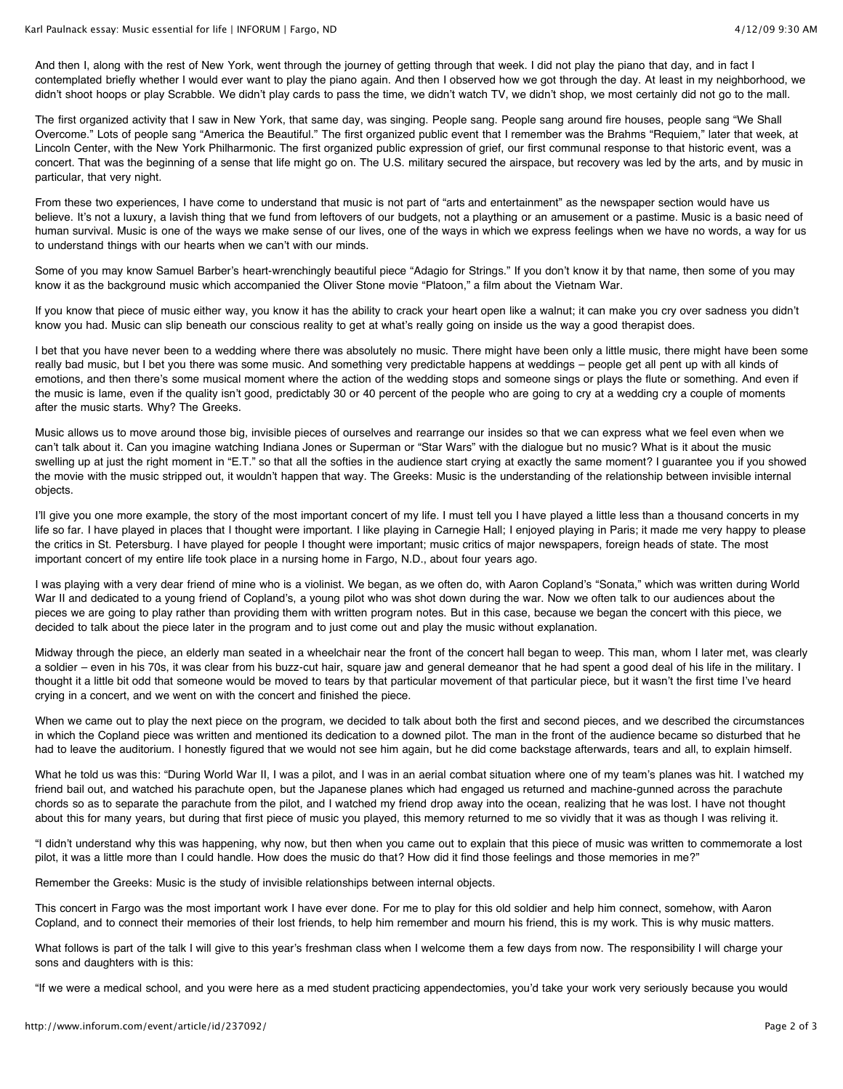And then I, along with the rest of New York, went through the journey of getting through that week. I did not play the piano that day, and in fact I contemplated briefly whether I would ever want to play the piano again. And then I observed how we got through the day. At least in my neighborhood, we didn't shoot hoops or play Scrabble. We didn't play cards to pass the time, we didn't watch TV, we didn't shop, we most certainly did not go to the mall.

The first organized activity that I saw in New York, that same day, was singing. People sang. People sang around fire houses, people sang "We Shall Overcome." Lots of people sang "America the Beautiful." The first organized public event that I remember was the Brahms "Requiem," later that week, at Lincoln Center, with the New York Philharmonic. The first organized public expression of grief, our first communal response to that historic event, was a concert. That was the beginning of a sense that life might go on. The U.S. military secured the airspace, but recovery was led by the arts, and by music in particular, that very night.

From these two experiences, I have come to understand that music is not part of "arts and entertainment" as the newspaper section would have us believe. It's not a luxury, a lavish thing that we fund from leftovers of our budgets, not a plaything or an amusement or a pastime. Music is a basic need of human survival. Music is one of the ways we make sense of our lives, one of the ways in which we express feelings when we have no words, a way for us to understand things with our hearts when we can't with our minds.

Some of you may know Samuel Barber's heart-wrenchingly beautiful piece "Adagio for Strings." If you don't know it by that name, then some of you may know it as the background music which accompanied the Oliver Stone movie "Platoon," a film about the Vietnam War.

If you know that piece of music either way, you know it has the ability to crack your heart open like a walnut; it can make you cry over sadness you didn't know you had. Music can slip beneath our conscious reality to get at what's really going on inside us the way a good therapist does.

I bet that you have never been to a wedding where there was absolutely no music. There might have been only a little music, there might have been some really bad music, but I bet you there was some music. And something very predictable happens at weddings – people get all pent up with all kinds of emotions, and then there's some musical moment where the action of the wedding stops and someone sings or plays the flute or something. And even if the music is lame, even if the quality isn't good, predictably 30 or 40 percent of the people who are going to cry at a wedding cry a couple of moments after the music starts. Why? The Greeks.

Music allows us to move around those big, invisible pieces of ourselves and rearrange our insides so that we can express what we feel even when we can't talk about it. Can you imagine watching Indiana Jones or Superman or "Star Wars" with the dialogue but no music? What is it about the music swelling up at just the right moment in "E.T." so that all the softies in the audience start crying at exactly the same moment? I guarantee you if you showed the movie with the music stripped out, it wouldn't happen that way. The Greeks: Music is the understanding of the relationship between invisible internal objects.

I'll give you one more example, the story of the most important concert of my life. I must tell you I have played a little less than a thousand concerts in my life so far. I have played in places that I thought were important. I like playing in Carnegie Hall; I enjoyed playing in Paris; it made me very happy to please the critics in St. Petersburg. I have played for people I thought were important; music critics of major newspapers, foreign heads of state. The most important concert of my entire life took place in a nursing home in Fargo, N.D., about four years ago.

I was playing with a very dear friend of mine who is a violinist. We began, as we often do, with Aaron Copland's "Sonata," which was written during World War II and dedicated to a young friend of Copland's, a young pilot who was shot down during the war. Now we often talk to our audiences about the pieces we are going to play rather than providing them with written program notes. But in this case, because we began the concert with this piece, we decided to talk about the piece later in the program and to just come out and play the music without explanation.

Midway through the piece, an elderly man seated in a wheelchair near the front of the concert hall began to weep. This man, whom I later met, was clearly a soldier – even in his 70s, it was clear from his buzz-cut hair, square jaw and general demeanor that he had spent a good deal of his life in the military. I thought it a little bit odd that someone would be moved to tears by that particular movement of that particular piece, but it wasn't the first time I've heard crying in a concert, and we went on with the concert and finished the piece.

When we came out to play the next piece on the program, we decided to talk about both the first and second pieces, and we described the circumstances in which the Copland piece was written and mentioned its dedication to a downed pilot. The man in the front of the audience became so disturbed that he had to leave the auditorium. I honestly figured that we would not see him again, but he did come backstage afterwards, tears and all, to explain himself.

What he told us was this: "During World War II, I was a pilot, and I was in an aerial combat situation where one of my team's planes was hit. I watched my friend bail out, and watched his parachute open, but the Japanese planes which had engaged us returned and machine-gunned across the parachute chords so as to separate the parachute from the pilot, and I watched my friend drop away into the ocean, realizing that he was lost. I have not thought about this for many years, but during that first piece of music you played, this memory returned to me so vividly that it was as though I was reliving it.

"I didn't understand why this was happening, why now, but then when you came out to explain that this piece of music was written to commemorate a lost pilot, it was a little more than I could handle. How does the music do that? How did it find those feelings and those memories in me?"

Remember the Greeks: Music is the study of invisible relationships between internal objects.

This concert in Fargo was the most important work I have ever done. For me to play for this old soldier and help him connect, somehow, with Aaron Copland, and to connect their memories of their lost friends, to help him remember and mourn his friend, this is my work. This is why music matters.

What follows is part of the talk I will give to this year's freshman class when I welcome them a few days from now. The responsibility I will charge your sons and daughters with is this:

"If we were a medical school, and you were here as a med student practicing appendectomies, you'd take your work very seriously because you would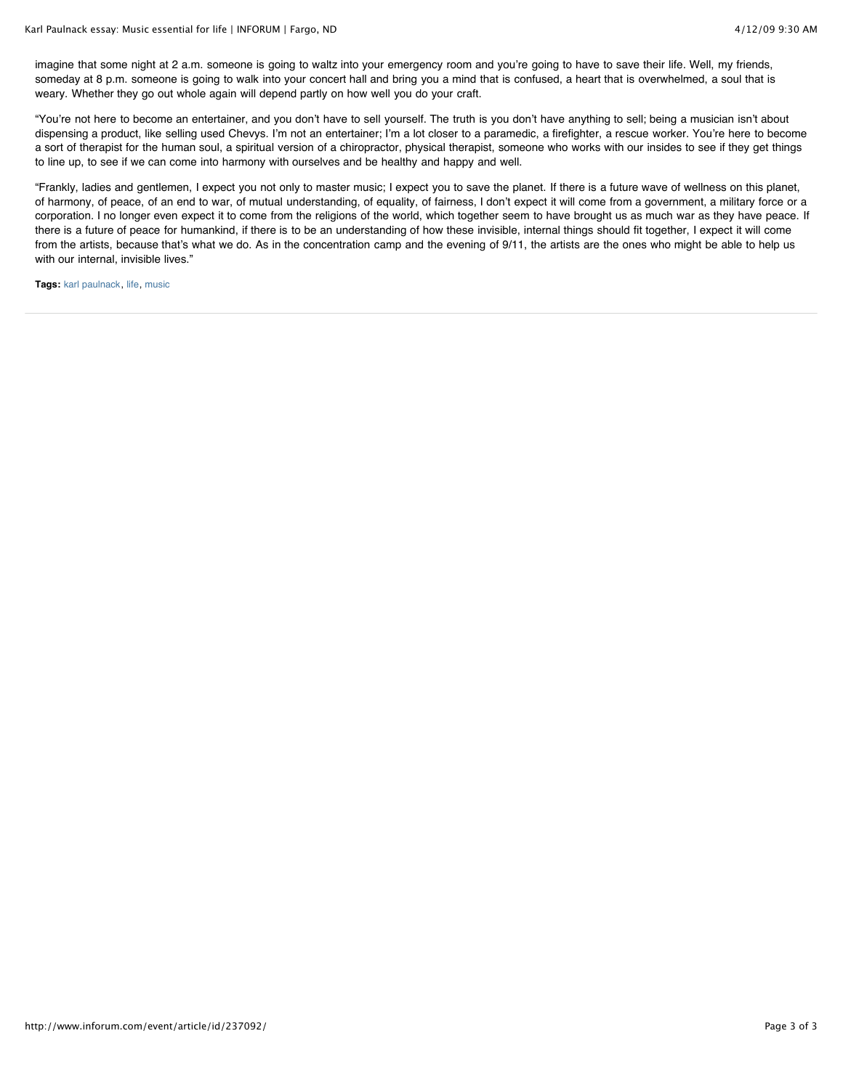imagine that some night at 2 a.m. someone is going to waltz into your emergency room and you're going to have to save their life. Well, my friends, someday at 8 p.m. someone is going to walk into your concert hall and bring you a mind that is confused, a heart that is overwhelmed, a soul that is weary. Whether they go out whole again will depend partly on how well you do your craft.

"You're not here to become an entertainer, and you don't have to sell yourself. The truth is you don't have anything to sell; being a musician isn't about dispensing a product, like selling used Chevys. I'm not an entertainer; I'm a lot closer to a paramedic, a firefighter, a rescue worker. You're here to become a sort of therapist for the human soul, a spiritual version of a chiropractor, physical therapist, someone who works with our insides to see if they get things to line up, to see if we can come into harmony with ourselves and be healthy and happy and well.

"Frankly, ladies and gentlemen, I expect you not only to master music; I expect you to save the planet. If there is a future wave of wellness on this planet, of harmony, of peace, of an end to war, of mutual understanding, of equality, of fairness, I don't expect it will come from a government, a military force or a corporation. I no longer even expect it to come from the religions of the world, which together seem to have brought us as much war as they have peace. If there is a future of peace for humankind, if there is to be an understanding of how these invisible, internal things should fit together, I expect it will come from the artists, because that's what we do. As in the concentration camp and the evening of 9/11, the artists are the ones who might be able to help us with our internal, invisible lives."

**Tags:** karl paulnack, life, music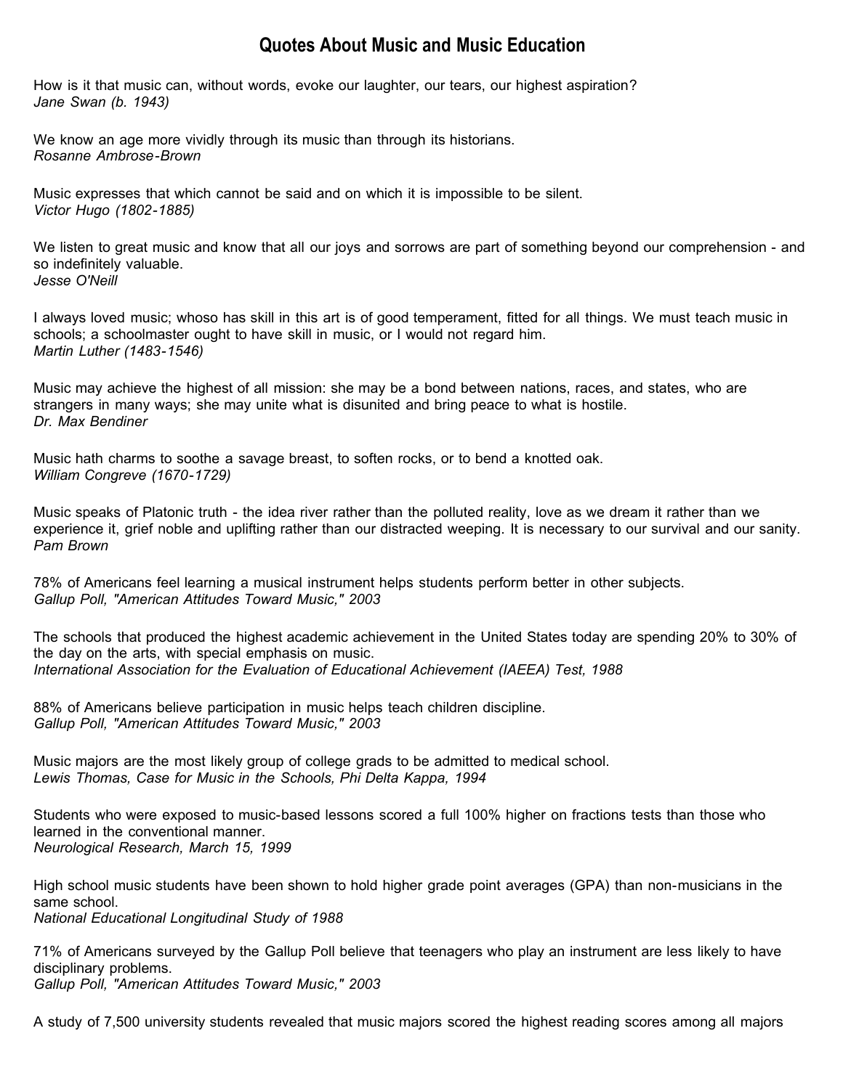## **Quotes About Music and Music Education**

How is it that music can, without words, evoke our laughter, our tears, our highest aspiration? *Jane Swan (b. 1943)*

We know an age more vividly through its music than through its historians. *Rosanne Ambrose-Brown*

Music expresses that which cannot be said and on which it is impossible to be silent. *Victor Hugo (1802-1885)*

We listen to great music and know that all our joys and sorrows are part of something beyond our comprehension - and so indefinitely valuable. *Jesse O'Neill*

I always loved music; whoso has skill in this art is of good temperament, fitted for all things. We must teach music in schools; a schoolmaster ought to have skill in music, or I would not regard him. *Martin Luther (1483-1546)*

Music may achieve the highest of all mission: she may be a bond between nations, races, and states, who are strangers in many ways; she may unite what is disunited and bring peace to what is hostile. *Dr. Max Bendiner*

Music hath charms to soothe a savage breast, to soften rocks, or to bend a knotted oak. *William Congreve (1670-1729)*

Music speaks of Platonic truth - the idea river rather than the polluted reality, love as we dream it rather than we experience it, grief noble and uplifting rather than our distracted weeping. It is necessary to our survival and our sanity. *Pam Brown*

78% of Americans feel learning a musical instrument helps students perform better in other subjects. *Gallup Poll, "American Attitudes Toward Music," 2003*

The schools that produced the highest academic achievement in the United States today are spending 20% to 30% of the day on the arts, with special emphasis on music. *International Association for the Evaluation of Educational Achievement (IAEEA) Test, 1988*

88% of Americans believe participation in music helps teach children discipline. *Gallup Poll, "American Attitudes Toward Music," 2003*

Music majors are the most likely group of college grads to be admitted to medical school. *Lewis Thomas, Case for Music in the Schools, Phi Delta Kappa, 1994*

Students who were exposed to music-based lessons scored a full 100% higher on fractions tests than those who learned in the conventional manner. *Neurological Research, March 15, 1999*

High school music students have been shown to hold higher grade point averages (GPA) than non-musicians in the same school. *National Educational Longitudinal Study of 1988*

71% of Americans surveyed by the Gallup Poll believe that teenagers who play an instrument are less likely to have disciplinary problems. *Gallup Poll, "American Attitudes Toward Music," 2003*

A study of 7,500 university students revealed that music majors scored the highest reading scores among all majors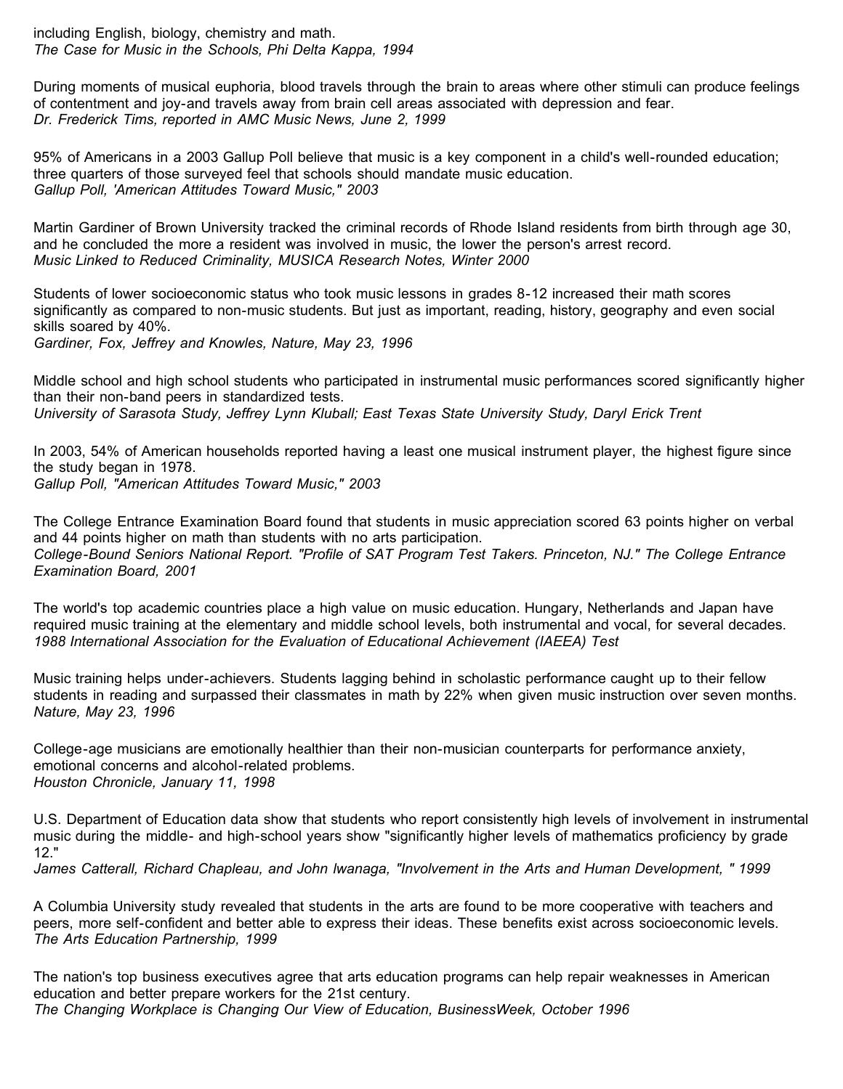including English, biology, chemistry and math. *The Case for Music in the Schools, Phi Delta Kappa, 1994*

During moments of musical euphoria, blood travels through the brain to areas where other stimuli can produce feelings of contentment and joy-and travels away from brain cell areas associated with depression and fear. *Dr. Frederick Tims, reported in AMC Music News, June 2, 1999*

95% of Americans in a 2003 Gallup Poll believe that music is a key component in a child's well-rounded education; three quarters of those surveyed feel that schools should mandate music education. *Gallup Poll, 'American Attitudes Toward Music," 2003*

Martin Gardiner of Brown University tracked the criminal records of Rhode Island residents from birth through age 30, and he concluded the more a resident was involved in music, the lower the person's arrest record. *Music Linked to Reduced Criminality, MUSICA Research Notes, Winter 2000*

Students of lower socioeconomic status who took music lessons in grades 8-12 increased their math scores significantly as compared to non-music students. But just as important, reading, history, geography and even social skills soared by 40%.

*Gardiner, Fox, Jeffrey and Knowles, Nature, May 23, 1996*

Middle school and high school students who participated in instrumental music performances scored significantly higher than their non-band peers in standardized tests. *University of Sarasota Study, Jeffrey Lynn Kluball; East Texas State University Study, Daryl Erick Trent*

In 2003, 54% of American households reported having a least one musical instrument player, the highest figure since the study began in 1978. *Gallup Poll, "American Attitudes Toward Music," 2003*

The College Entrance Examination Board found that students in music appreciation scored 63 points higher on verbal and 44 points higher on math than students with no arts participation. *College-Bound Seniors National Report. "Profile of SAT Program Test Takers. Princeton, NJ." The College Entrance Examination Board, 2001*

The world's top academic countries place a high value on music education. Hungary, Netherlands and Japan have required music training at the elementary and middle school levels, both instrumental and vocal, for several decades. *1988 International Association for the Evaluation of Educational Achievement (IAEEA) Test*

Music training helps under-achievers. Students lagging behind in scholastic performance caught up to their fellow students in reading and surpassed their classmates in math by 22% when given music instruction over seven months. *Nature, May 23, 1996*

College-age musicians are emotionally healthier than their non-musician counterparts for performance anxiety, emotional concerns and alcohol-related problems. *Houston Chronicle, January 11, 1998*

U.S. Department of Education data show that students who report consistently high levels of involvement in instrumental music during the middle- and high-school years show "significantly higher levels of mathematics proficiency by grade 12."

*James Catterall, Richard Chapleau, and John lwanaga, "Involvement in the Arts and Human Development, " 1999*

A Columbia University study revealed that students in the arts are found to be more cooperative with teachers and peers, more self-confident and better able to express their ideas. These benefits exist across socioeconomic levels. *The Arts Education Partnership, 1999*

The nation's top business executives agree that arts education programs can help repair weaknesses in American education and better prepare workers for the 21st century. *The Changing Workplace is Changing Our View of Education, BusinessWeek, October 1996*